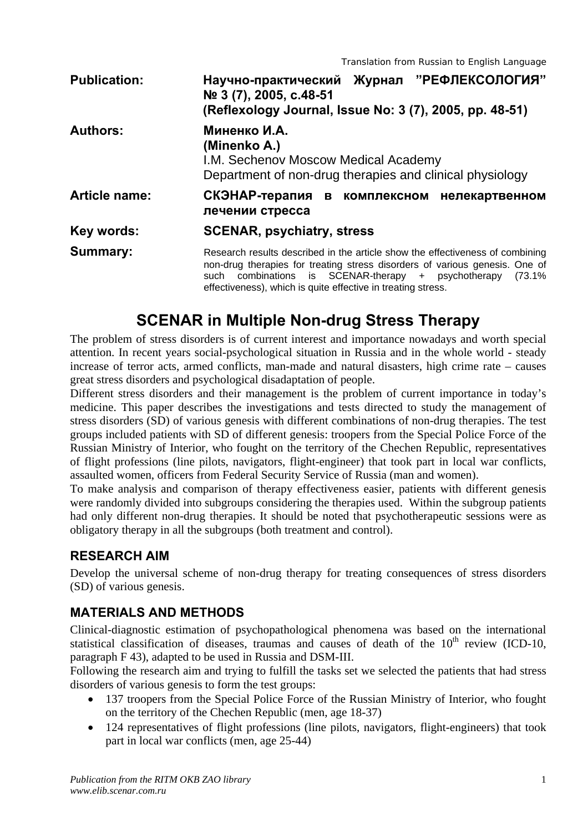| <b>Publication:</b>  | Журнал "РЕФЛЕКСОЛОГИЯ"<br>Научно-практический<br>Nº 3 (7), 2005, c.48-51<br>(Reflexology Journal, Issue No: 3 (7), 2005, pp. 48-51)                                                                                                                                                           |
|----------------------|-----------------------------------------------------------------------------------------------------------------------------------------------------------------------------------------------------------------------------------------------------------------------------------------------|
| <b>Authors:</b>      | Миненко И.А.<br>(Minenko A.)<br>I.M. Sechenov Moscow Medical Academy<br>Department of non-drug therapies and clinical physiology                                                                                                                                                              |
| <b>Article name:</b> | СКЭНАР-терапия<br>в комплексном<br>нелекартвенном<br>лечении стресса                                                                                                                                                                                                                          |
| Key words:           | <b>SCENAR, psychiatry, stress</b>                                                                                                                                                                                                                                                             |
| <b>Summary:</b>      | Research results described in the article show the effectiveness of combining<br>non-drug therapies for treating stress disorders of various genesis. One of<br>such combinations is SCENAR-therapy + psychotherapy<br>(73.1%<br>effectiveness), which is quite effective in treating stress. |

# **SCENAR in Multiple Non-drug Stress Therapy**

The problem of stress disorders is of current interest and importance nowadays and worth special attention. In recent years social-psychological situation in Russia and in the whole world - steady increase of terror acts, armed conflicts, man-made and natural disasters, high crime rate – causes great stress disorders and psychological disadaptation of people.

Different stress disorders and their management is the problem of current importance in today's medicine. This paper describes the investigations and tests directed to study the management of stress disorders (SD) of various genesis with different combinations of non-drug therapies. The test groups included patients with SD of different genesis: troopers from the Special Police Force of the Russian Ministry of Interior, who fought on the territory of the Chechen Republic, representatives of flight professions (line pilots, navigators, flight-engineer) that took part in local war conflicts, assaulted women, officers from Federal Security Service of Russia (man and women).

To make analysis and comparison of therapy effectiveness easier, patients with different genesis were randomly divided into subgroups considering the therapies used. Within the subgroup patients had only different non-drug therapies. It should be noted that psychotherapeutic sessions were as obligatory therapy in all the subgroups (both treatment and control).

### **RESEARCH AIM**

Develop the universal scheme of non-drug therapy for treating consequences of stress disorders (SD) of various genesis.

# **MATERIALS AND METHODS**

Clinical-diagnostic estimation of psychopathological phenomena was based on the international statistical classification of diseases, traumas and causes of death of the  $10<sup>th</sup>$  review (ICD-10, paragraph F 43), adapted to be used in Russia and DSM-III.

Following the research aim and trying to fulfill the tasks set we selected the patients that had stress disorders of various genesis to form the test groups:

- 137 troopers from the Special Police Force of the Russian Ministry of Interior, who fought on the territory of the Chechen Republic (men, age 18-37)
- 124 representatives of flight professions (line pilots, navigators, flight-engineers) that took part in local war conflicts (men, age 25-44)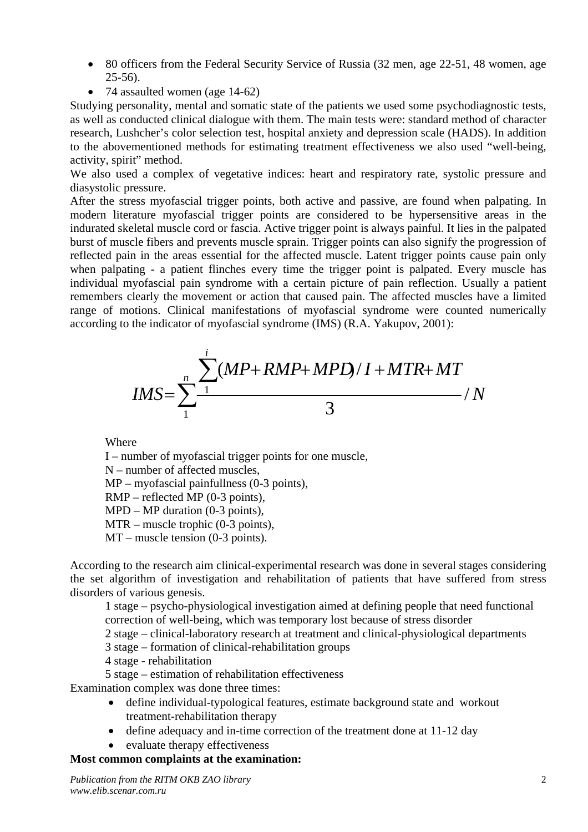- 80 officers from the Federal Security Service of Russia (32 men, age 22-51, 48 women, age 25-56).
- 74 assaulted women (age 14-62)

Studying personality, mental and somatic state of the patients we used some psychodiagnostic tests, as well as conducted clinical dialogue with them. The main tests were: standard method of character research, Lushcher's color selection test, hospital anxiety and depression scale (HADS). In addition to the abovementioned methods for estimating treatment effectiveness we also used "well-being, activity, spirit" method.

We also used a complex of vegetative indices: heart and respiratory rate, systolic pressure and diasystolic pressure.

After the stress myofascial trigger points, both active and passive, are found when palpating. In modern literature myofascial trigger points are considered to be hypersensitive areas in the indurated skeletal muscle cord or fascia. Active trigger point is always painful. It lies in the palpated burst of muscle fibers and prevents muscle sprain. Trigger points can also signify the progression of reflected pain in the areas essential for the affected muscle. Latent trigger points cause pain only when palpating - a patient flinches every time the trigger point is palpated. Every muscle has individual myofascial pain syndrome with a certain picture of pain reflection. Usually a patient remembers clearly the movement or action that caused pain. The affected muscles have a limited range of motions. Clinical manifestations of myofascial syndrome were counted numerically according to the indicator of myofascial syndrome (IMS) (R.A. Yakupov, 2001):

$$
IMS = \sum_{1}^{n} \frac{\sum_{1}^{i} (MP + RMP + MPD) / I + MTR + MT}{3} / N
$$

Where

I – number of myofascial trigger points for one muscle,

```
N – number of affected muscles.
```
MP – myofascial painfullness (0-3 points),

RMP – reflected MP (0-3 points),

MPD – MP duration (0-3 points),

MTR – muscle trophic (0-3 points),

MT – muscle tension (0-3 points).

According to the research aim clinical-experimental research was done in several stages considering the set algorithm of investigation and rehabilitation of patients that have suffered from stress disorders of various genesis.

1 stage – psycho-physiological investigation aimed at defining people that need functional correction of well-being, which was temporary lost because of stress disorder

2 stage – clinical-laboratory research at treatment and clinical-physiological departments

3 stage – formation of clinical-rehabilitation groups

- 4 stage rehabilitation
- 5 stage estimation of rehabilitation effectiveness

Examination complex was done three times:

- define individual-typological features, estimate background state and workout treatment-rehabilitation therapy
- define adequacy and in-time correction of the treatment done at 11-12 day
- evaluate therapy effectiveness

#### **Most common complaints at the examination:**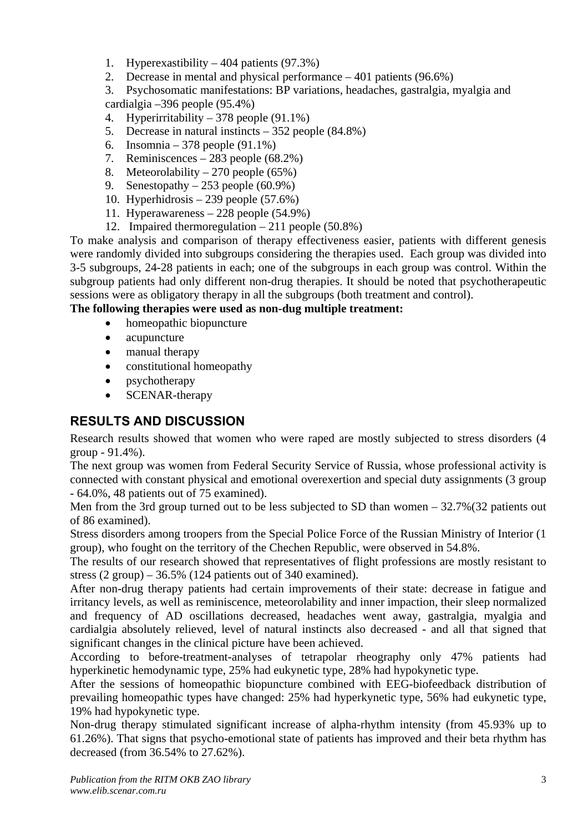- 1. Hyperexastibility 404 patients (97.3%)
- 2. Decrease in mental and physical performance 401 patients (96.6%)

3. Psychosomatic manifestations: BP variations, headaches, gastralgia, myalgia and cardialgia –396 people (95.4%)

- 4. Hyperirritability 378 people (91.1%)
- 5. Decrease in natural instincts 352 people (84.8%)
- 6. Insomnia 378 people (91.1%)
- 7. Reminiscences 283 people (68.2%)
- 8. Meteorolability 270 people (65%)
- 9. Senestopathy  $-253$  people (60.9%)
- 10. Hyperhidrosis 239 people (57.6%)
- 11. Hyperawareness 228 people (54.9%)
- 12. Impaired thermoregulation 211 people (50.8%)

To make analysis and comparison of therapy effectiveness easier, patients with different genesis were randomly divided into subgroups considering the therapies used. Each group was divided into 3-5 subgroups, 24-28 patients in each; one of the subgroups in each group was control. Within the subgroup patients had only different non-drug therapies. It should be noted that psychotherapeutic sessions were as obligatory therapy in all the subgroups (both treatment and control).

#### **The following therapies were used as non-dug multiple treatment:**

- homeopathic biopuncture
- acupuncture
- manual therapy
- constitutional homeopathy
- psychotherapy
- **SCENAR-therapy**

## **RESULTS AND DISCUSSION**

Research results showed that women who were raped are mostly subjected to stress disorders (4 group - 91.4%).

The next group was women from Federal Security Service of Russia, whose professional activity is connected with constant physical and emotional overexertion and special duty assignments (3 group - 64.0%, 48 patients out of 75 examined).

Men from the 3rd group turned out to be less subjected to SD than women – 32.7%(32 patients out of 86 examined).

Stress disorders among troopers from the Special Police Force of the Russian Ministry of Interior (1 group), who fought on the territory of the Chechen Republic, were observed in 54.8%.

The results of our research showed that representatives of flight professions are mostly resistant to stress  $(2 \text{ group}) - 36.5\%$  (124 patients out of 340 examined).

After non-drug therapy patients had certain improvements of their state: decrease in fatigue and irritancy levels, as well as reminiscence, meteorolability and inner impaction, their sleep normalized and frequency of AD oscillations decreased, headaches went away, gastralgia, myalgia and cardialgia absolutely relieved, level of natural instincts also decreased - and all that signed that significant changes in the clinical picture have been achieved.

According to before-treatment-analyses of tetrapolar rheography only 47% patients had hyperkinetic hemodynamic type, 25% had eukynetic type, 28% had hypokynetic type.

After the sessions of homeopathic biopuncture combined with EEG-biofeedback distribution of prevailing homeopathic types have changed: 25% had hyperkynetic type, 56% had eukynetic type, 19% had hypokynetic type.

Non-drug therapy stimulated significant increase of alpha-rhythm intensity (from 45.93% up to 61.26%). That signs that psycho-emotional state of patients has improved and their beta rhythm has decreased (from 36.54% to 27.62%).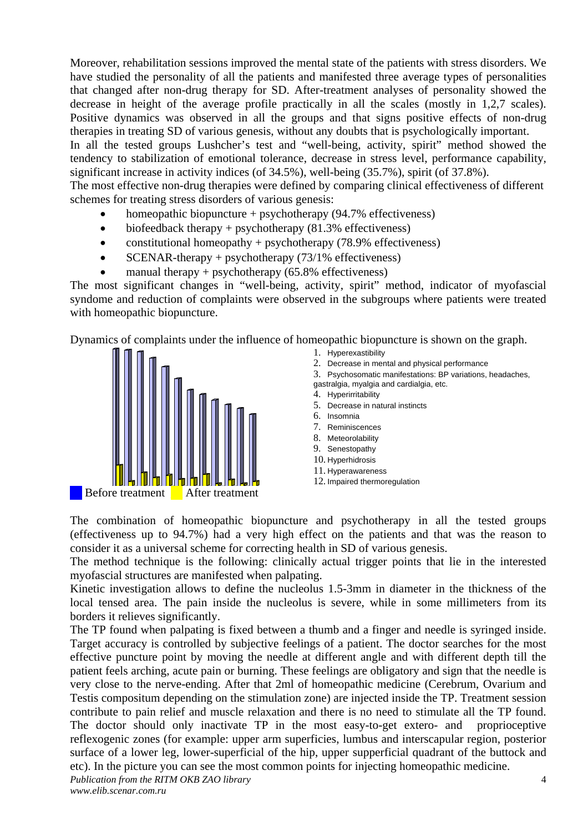Moreover, rehabilitation sessions improved the mental state of the patients with stress disorders. We have studied the personality of all the patients and manifested three average types of personalities that changed after non-drug therapy for SD. After-treatment analyses of personality showed the decrease in height of the average profile practically in all the scales (mostly in 1,2,7 scales). Positive dynamics was observed in all the groups and that signs positive effects of non-drug therapies in treating SD of various genesis, without any doubts that is psychologically important.

In all the tested groups Lushcher's test and "well-being, activity, spirit" method showed the tendency to stabilization of emotional tolerance, decrease in stress level, performance capability, significant increase in activity indices (of 34.5%), well-being (35.7%), spirit (of 37.8%).

The most effective non-drug therapies were defined by comparing clinical effectiveness of different schemes for treating stress disorders of various genesis:

- homeopathic biopuncture  $+$  psychotherapy (94.7% effectiveness)
- biofeedback therapy + psychotherapy  $(81.3\%$  effectiveness)
- constitutional homeopathy + psychotherapy  $(78.9\%$  effectiveness)
- SCENAR-therapy + psychotherapy  $(73/1\%$  effectiveness)
- manual therapy + psychotherapy  $(65.8\%$  effectiveness)

The most significant changes in "well-being, activity, spirit" method, indicator of myofascial syndome and reduction of complaints were observed in the subgroups where patients were treated with homeopathic biopuncture.

Dynamics of complaints under the influence of homeopathic biopuncture is shown on the graph.



- 1. Hyperexastibility
- 2. Decrease in mental and physical performance
- 3. Psychosomatic manifestations: BP variations, headaches,
- gastralgia, myalgia and cardialgia, etc.
- 4. Hyperirritability
- 5. Decrease in natural instincts
- 6. Insomnia
- 7. Reminiscences
- 8. Meteorolability
- 9. Senestopathy
- 10. Hyperhidrosis
- 11. Hyperawareness
- 12. Impaired thermoregulation

The combination of homeopathic biopuncture and psychotherapy in all the tested groups (effectiveness up to 94.7%) had a very high effect on the patients and that was the reason to consider it as a universal scheme for correcting health in SD of various genesis.

The method technique is the following: clinically actual trigger points that lie in the interested myofascial structures are manifested when palpating.

Kinetic investigation allows to define the nucleolus 1.5-3mm in diameter in the thickness of the local tensed area. The pain inside the nucleolus is severe, while in some millimeters from its borders it relieves significantly.

*Publication from the RITM OKB ZAO library*  4 The TP found when palpating is fixed between a thumb and a finger and needle is syringed inside. Target accuracy is controlled by subjective feelings of a patient. The doctor searches for the most effective puncture point by moving the needle at different angle and with different depth till the patient feels arching, acute pain or burning. These feelings are obligatory and sign that the needle is very close to the nerve-ending. After that 2ml of homeopathic medicine (Cerebrum, Ovarium and Testis compositum depending on the stimulation zone) are injected inside the TP. Treatment session contribute to pain relief and muscle relaxation and there is no need to stimulate all the TP found. The doctor should only inactivate TP in the most easy-to-get extero- and proprioceptive reflexogenic zones (for example: upper arm superficies, lumbus and interscapular region, posterior surface of a lower leg, lower-superficial of the hip, upper supperficial quadrant of the buttock and etc). In the picture you can see the most common points for injecting homeopathic medicine.

*www.elib.scenar.com.ru*